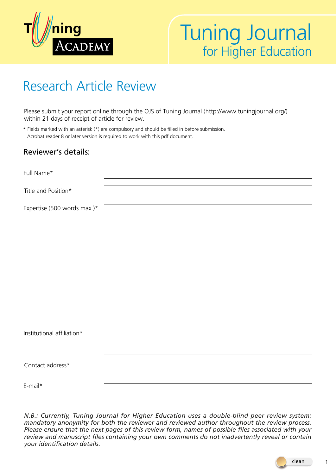

### Research Article Review

Please submit your report online through the OJS of Tuning Journal (http://www.tuningjournal.org/) within 21 days of receipt of article for review.

\* Fields marked with an asterisk (\*) are compulsory and should be filled in before submission. Acrobat reader 8 or later version is required to work with this pdf document.

#### Reviewer's details:

| Full Name*                  |  |
|-----------------------------|--|
| Title and Position*         |  |
| Expertise (500 words max.)* |  |
| Institutional affiliation*  |  |
|                             |  |
| Contact address*            |  |
| E-mail*                     |  |

*N.B.: Currently, Tuning Journal for Higher Education uses a double-blind peer review system: mandatory anonymity for both the reviewer and reviewed author throughout the review process. Please ensure that the next pages of this review form, names of possible files associated with your review and manuscript files containing your own comments do not inadvertently reveal or contain your identification details.*

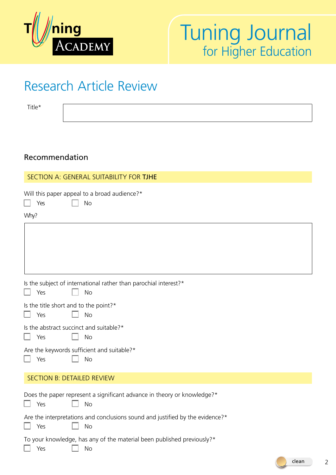

### Research Article Review

Title\*

### Recommendation

#### SECTION A: GENERAL SUITABILITY FOR TJHE

Will this paper appeal to a broad audience?\*

| Yes. | No |
|------|----|
|------|----|

#### Why?

| .                                                                                                 |
|---------------------------------------------------------------------------------------------------|
|                                                                                                   |
| Is the subject of international rather than parochial interest?*<br>Yes<br><b>No</b>              |
| Is the title short and to the point?*<br>Yes<br><b>No</b>                                         |
| Is the abstract succinct and suitable?*<br>Yes<br>No                                              |
| Are the keywords sufficient and suitable?*<br>Yes<br><b>No</b>                                    |
| <b>SECTION B: DETAILED REVIEW</b>                                                                 |
| Does the paper represent a significant advance in theory or knowledge?*<br><b>No</b><br>Yes       |
| Are the interpretations and conclusions sound and justified by the evidence?*<br>Yes<br><b>No</b> |
| To your knowledge, has any of the material been published previously?*<br>Yes<br><b>No</b>        |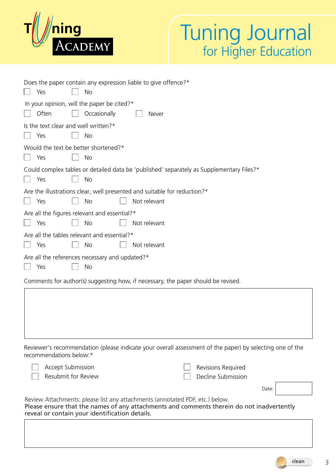

| Does the paper contain any expression liable to give offence?*<br><b>No</b><br>Yes                           |
|--------------------------------------------------------------------------------------------------------------|
| In your opinion, will the paper be cited?*<br>Often<br>Occasionally<br>Never                                 |
| Is the text clear and well written?*<br>Yes<br>No                                                            |
| Would the text be better shortened?*<br>Yes<br>No                                                            |
| Could complex tables or detailed data be 'published' separately as Supplementary Files?*<br>Yes<br><b>No</b> |
| Are the illustrations clear, well presented and suitable for reduction?*<br>Not relevant<br>Yes<br><b>No</b> |
| Are all the figures relevant and essential?*<br><b>No</b><br>Yes<br>Not relevant                             |
| Are all the tables relevant and essential?*<br>Yes<br>Not relevant<br>No                                     |
| Are all the references necessary and updated?*<br>Yes<br>No                                                  |
| Comments for author(s) suggesting how, if necessary, the paper should be revised.                            |
|                                                                                                              |
|                                                                                                              |

Reviewer's recommendation (please indicate your overall assessment of the paper) by selecting one of the recommendations below:\*

| Accept Submission   | $\Box$ Revisions Required |
|---------------------|---------------------------|
| Resubmit for Review | Decline Submission        |

Date:

Review Attachments: please list any attachments (annotated PDF, etc.) below. Please ensure that the names of any attachments and comments therein do not inadvertently reveal or contain your identification details.